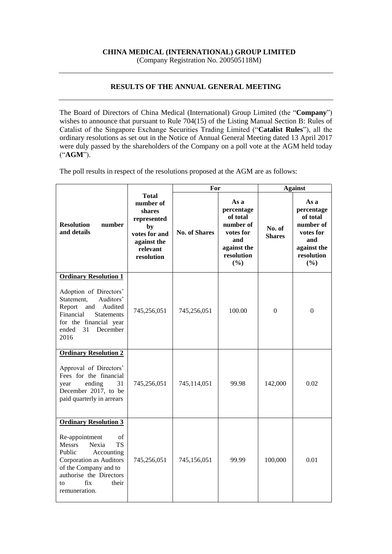## **CHINA MEDICAL (INTERNATIONAL) GROUP LIMITED**

(Company Registration No. 200505118M)

## **RESULTS OF THE ANNUAL GENERAL MEETING**

The Board of Directors of China Medical (International) Group Limited (the "**Company**") wishes to announce that pursuant to Rule 704(15) of the Listing Manual Section B: Rules of Catalist of the Singapore Exchange Securities Trading Limited ("**Catalist Rules**"), all the ordinary resolutions as set out in the Notice of Annual General Meeting dated 13 April 2017 were duly passed by the shareholders of the Company on a poll vote at the AGM held today ("**AGM**").

The poll results in respect of the resolutions proposed at the AGM are as follows:

|                                                                                                                                                                                                           |                                                                                                                    | For                  |                                                                                                     | <b>Against</b>          |                                                                                                     |
|-----------------------------------------------------------------------------------------------------------------------------------------------------------------------------------------------------------|--------------------------------------------------------------------------------------------------------------------|----------------------|-----------------------------------------------------------------------------------------------------|-------------------------|-----------------------------------------------------------------------------------------------------|
| <b>Resolution</b><br>number<br>and details                                                                                                                                                                | <b>Total</b><br>number of<br>shares<br>represented<br>by<br>votes for and<br>against the<br>relevant<br>resolution | <b>No. of Shares</b> | As a<br>percentage<br>of total<br>number of<br>votes for<br>and<br>against the<br>resolution<br>(%) | No. of<br><b>Shares</b> | As a<br>percentage<br>of total<br>number of<br>votes for<br>and<br>against the<br>resolution<br>(%) |
| <b>Ordinary Resolution 1</b>                                                                                                                                                                              |                                                                                                                    |                      |                                                                                                     |                         |                                                                                                     |
| Adoption of Directors'<br>Auditors'<br>Statement,<br>Audited<br>Report<br>and<br>Financial<br><b>Statements</b><br>for the financial year<br>31<br>December<br>ended<br>2016                              | 745,256,051                                                                                                        | 745,256,051          | 100.00                                                                                              | $\overline{0}$          | $\overline{0}$                                                                                      |
| <b>Ordinary Resolution 2</b>                                                                                                                                                                              |                                                                                                                    |                      |                                                                                                     |                         |                                                                                                     |
| Approval of Directors'<br>Fees for the financial<br>ending<br>31<br>year<br>December 2017, to be<br>paid quarterly in arrears                                                                             | 745,256,051                                                                                                        | 745,114,051          | 99.98                                                                                               | 142,000                 | 0.02                                                                                                |
| <b>Ordinary Resolution 3</b>                                                                                                                                                                              |                                                                                                                    |                      |                                                                                                     |                         |                                                                                                     |
| Re-appointment<br>of<br><b>TS</b><br><b>Messrs</b><br>Nexia<br>Public<br>Accounting<br>Corporation as Auditors<br>of the Company and to<br>authorise the Directors<br>fix<br>their<br>to<br>remuneration. | 745,256,051                                                                                                        | 745,156,051          | 99.99                                                                                               | 100,000                 | 0.01                                                                                                |